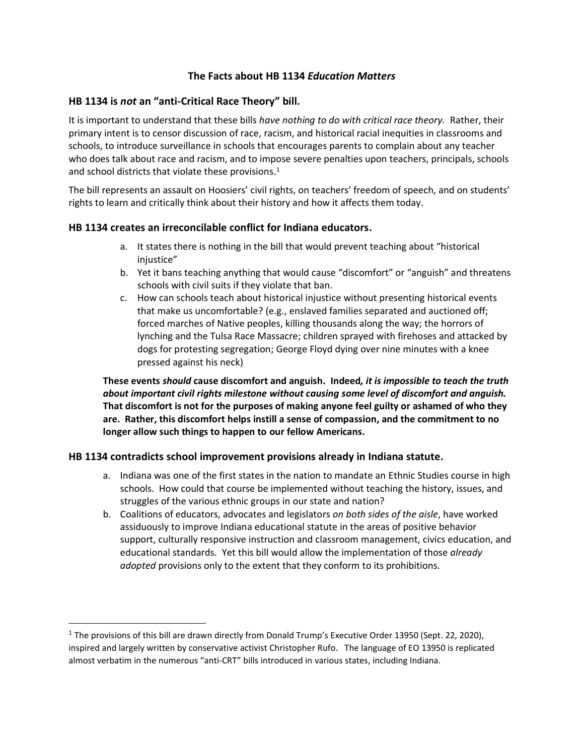# **The Facts about HB 1134** *Education Matters*

## **HB 1134 is** *not* **an ͞anƚi-Critical Race Theory͟ bill.**

It is important to understand that these bills *have nothing to do with critical race theory.* Rather, their primary intent is to censor discussion of race, racism, and historical racial inequities in classrooms and schools, to introduce surveillance in schools that encourages parents to complain about any teacher who does talk about race and racism, and to impose severe penalties upon teachers, principals, schools and school districts that violate these provisions.<sup>1</sup>

The bill represents an assault on Hoosiers' civil rights, on teachers' freedom of speech, and on students' rights to learn and critically think about their history and how it affects them today.

#### **HB 1134 creates an irreconcilable conflict for Indiana educators.**

- a. It states there is nothing in the bill that would prevent teaching about "historical injustice"
- b. Yet it bans teaching anything that would cause "discomfort" or "anguish" and threatens schools with civil suits if they violate that ban.
- c. How can schools teach about historical injustice without presenting historical events that make us uncomfortable? (e.g., enslaved families separated and auctioned off; forced marches of Native peoples, killing thousands along the way; the horrors of lynching and the Tulsa Race Massacre; children sprayed with firehoses and attacked by dogs for protesting segregation; George Floyd dying over nine minutes with a knee pressed against his neck)

**These events** *should* **cause discomfort and anguish. Indeed***, it is impossible to teach the truth about important civil rights milestone without causing some level of discomfort and anguish.* **That discomfort is not for the purposes of making anyone feel guilty or ashamed of who they are. Rather, this discomfort helps instill a sense of compassion, and the commitment to no longer allow such things to happen to our fellow Americans.** 

#### **HB 1134 contradicts school improvement provisions already in Indiana statute.**

- a. Indiana was one of the first states in the nation to mandate an Ethnic Studies course in high schools. How could that course be implemented without teaching the history, issues, and struggles of the various ethnic groups in our state and nation?
- b. Coalitions of educators, advocates and legislators *on both sides of the aisle*, have worked assiduously to improve Indiana educational statute in the areas of positive behavior support, culturally responsive instruction and classroom management, civics education, and educational standards. Yet this bill would allow the implementation of those *already adopted* provisions only to the extent that they conform to its prohibitions.

<sup>&</sup>lt;sup>1</sup> The provisions of this bill are drawn directly from Donald Trump's Executive Order 13950 (Sept. 22, 2020), inspired and largely written by conservative activist Christopher Rufo. The language of EO 13950 is replicated almost verbatim in the numerous "anti-CRT" bills introduced in various states, including Indiana.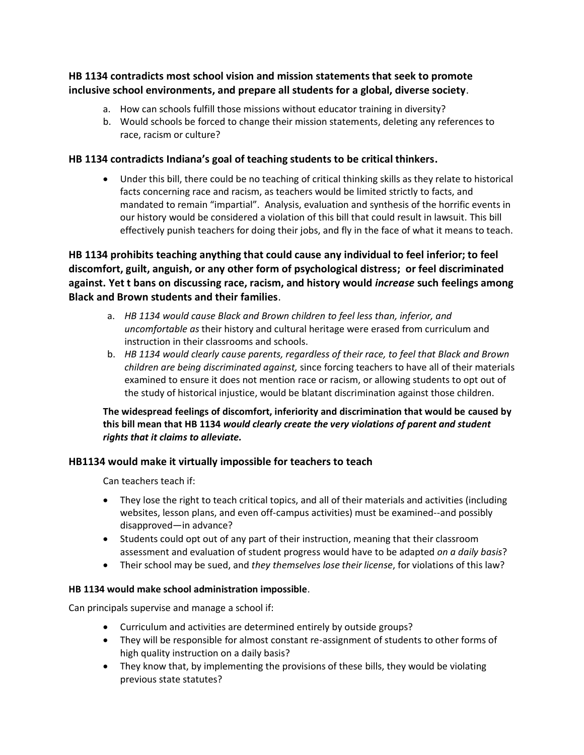# **HB 1134 contradicts most school vision and mission statements that seek to promote inclusive school environments, and prepare all students for a global, diverse society**.

- a. How can schools fulfill those missions without educator training in diversity?
- b. Would schools be forced to change their mission statements, deleting any references to race, racism or culture?

# **HB 1134 contradicts Indiana͛Ɛ goal of ƚeaching ƐƚƵdenƚƐ ƚo be criƚical ƚhinkerƐ.**

• Under this bill, there could be no teaching of critical thinking skills as they relate to historical facts concerning race and racism, as teachers would be limited strictly to facts, and mandated to remain "impartial". Analysis, evaluation and synthesis of the horrific events in our history would be considered a violation of this bill that could result in lawsuit. This bill effectively punish teachers for doing their jobs, and fly in the face of what it means to teach.

**HB 1134 prohibits teaching anything that could cause any individual to feel inferior; to feel discomfort, guilt, anguish, or any other form of psychological distress; or feel discriminated against. Yet t bans on discussing race, racism, and history would** *increase* **such feelings among Black and Brown students and their families**.

- a. *HB 1134 would cause Black and Brown children to feel less than, inferior, and uncomfortable as* their history and cultural heritage were erased from curriculum and instruction in their classrooms and schools.
- b. *HB 1134 would clearly cause parents, regardless of their race, to feel that Black and Brown children are being discriminated against,* since forcing teachers to have all of their materials examined to ensure it does not mention race or racism, or allowing students to opt out of the study of historical injustice, would be blatant discrimination against those children.

# **The widespread feelings of discomfort, inferiority and discrimination that would be caused by this bill mean that HB 1134** *would clearly create the very violations of parent and student rights that it claims to alleviate.*

# **HB1134 would make it virtually impossible for teachers to teach**

Can teachers teach if:

- They lose the right to teach critical topics, and all of their materials and activities (including websites, lesson plans, and even off-campus activities) must be examined--and possibly disapproved-in advance?
- Students could opt out of any part of their instruction, meaning that their classroom assessment and evaluation of student progress would have to be adapted *on a daily basis*?
- x Their school may be sued, and *they themselves lose their license*, for violations of this law?

# **HB 1134 would make school administration impossible**.

Can principals supervise and manage a school if:

- Curriculum and activities are determined entirely by outside groups?
- They will be responsible for almost constant re-assignment of students to other forms of high quality instruction on a daily basis?
- $\bullet$  They know that, by implementing the provisions of these bills, they would be violating previous state statutes?